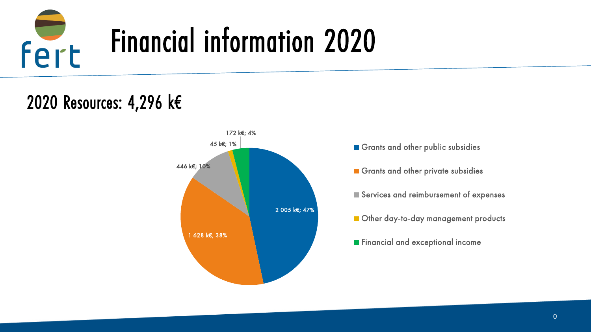

## 2020 Resources: 4,296 k€



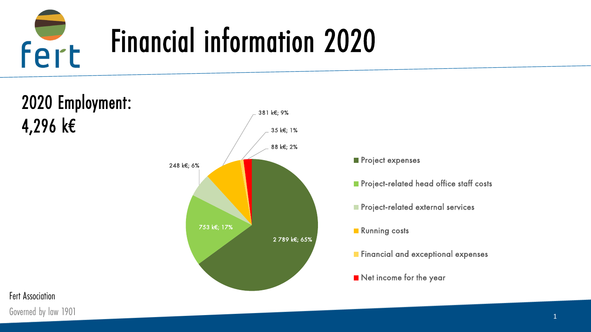



Governed by law 1901 **1**